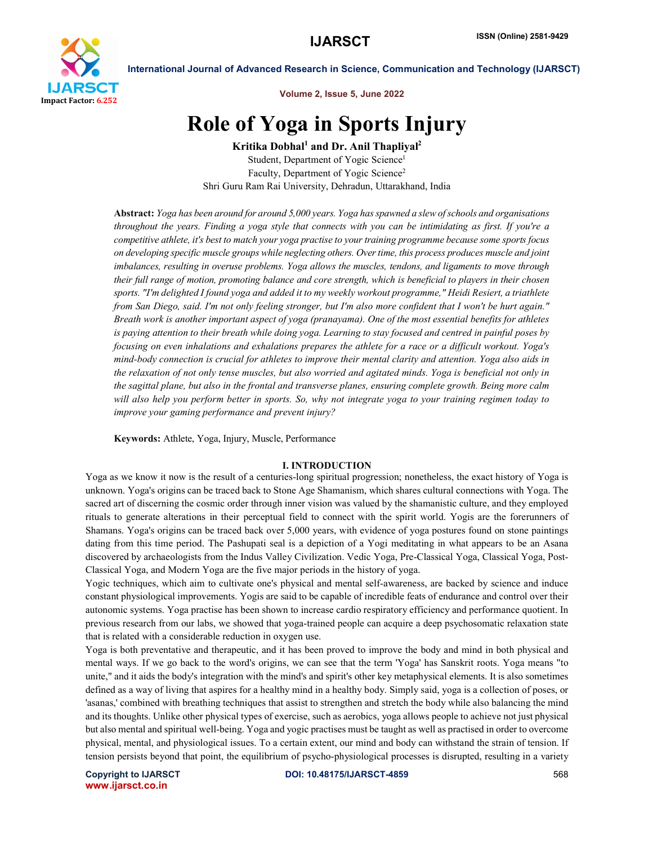

Volume 2, Issue 5, June 2022

# Role of Yoga in Sports Injury

Kritika Dobhal<sup>1</sup> and Dr. Anil Thapliyal<sup>2</sup> Student, Department of Yogic Science<sup>1</sup> Faculty, Department of Yogic Science<sup>2</sup> Shri Guru Ram Rai University, Dehradun, Uttarakhand, India

Abstract: *Yoga has been around for around 5,000 years. Yoga has spawned a slew of schools and organisations throughout the years. Finding a yoga style that connects with you can be intimidating as first. If you're a competitive athlete, it's best to match your yoga practise to your training programme because some sports focus on developing specific muscle groups while neglecting others. Over time, this process produces muscle and joint imbalances, resulting in overuse problems. Yoga allows the muscles, tendons, and ligaments to move through their full range of motion, promoting balance and core strength, which is beneficial to players in their chosen sports. "I'm delighted I found yoga and added it to my weekly workout programme," Heidi Resiert, a triathlete from San Diego, said. I'm not only feeling stronger, but I'm also more confident that I won't be hurt again." Breath work is another important aspect of yoga (pranayama). One of the most essential benefits for athletes is paying attention to their breath while doing yoga. Learning to stay focused and centred in painful poses by focusing on even inhalations and exhalations prepares the athlete for a race or a difficult workout. Yoga's mind-body connection is crucial for athletes to improve their mental clarity and attention. Yoga also aids in the relaxation of not only tense muscles, but also worried and agitated minds. Yoga is beneficial not only in the sagittal plane, but also in the frontal and transverse planes, ensuring complete growth. Being more calm will also help you perform better in sports. So, why not integrate yoga to your training regimen today to improve your gaming performance and prevent injury?*

Keywords: Athlete, Yoga, Injury, Muscle, Performance

#### I. INTRODUCTION

Yoga as we know it now is the result of a centuries-long spiritual progression; nonetheless, the exact history of Yoga is unknown. Yoga's origins can be traced back to Stone Age Shamanism, which shares cultural connections with Yoga. The sacred art of discerning the cosmic order through inner vision was valued by the shamanistic culture, and they employed rituals to generate alterations in their perceptual field to connect with the spirit world. Yogis are the forerunners of Shamans. Yoga's origins can be traced back over 5,000 years, with evidence of yoga postures found on stone paintings dating from this time period. The Pashupati seal is a depiction of a Yogi meditating in what appears to be an Asana discovered by archaeologists from the Indus Valley Civilization. Vedic Yoga, Pre-Classical Yoga, Classical Yoga, Post-Classical Yoga, and Modern Yoga are the five major periods in the history of yoga.

Yogic techniques, which aim to cultivate one's physical and mental self-awareness, are backed by science and induce constant physiological improvements. Yogis are said to be capable of incredible feats of endurance and control over their autonomic systems. Yoga practise has been shown to increase cardio respiratory efficiency and performance quotient. In previous research from our labs, we showed that yoga-trained people can acquire a deep psychosomatic relaxation state that is related with a considerable reduction in oxygen use.

Yoga is both preventative and therapeutic, and it has been proved to improve the body and mind in both physical and mental ways. If we go back to the word's origins, we can see that the term 'Yoga' has Sanskrit roots. Yoga means "to unite," and it aids the body's integration with the mind's and spirit's other key metaphysical elements. It is also sometimes defined as a way of living that aspires for a healthy mind in a healthy body. Simply said, yoga is a collection of poses, or 'asanas,' combined with breathing techniques that assist to strengthen and stretch the body while also balancing the mind and its thoughts. Unlike other physical types of exercise, such as aerobics, yoga allows people to achieve not just physical but also mental and spiritual well-being. Yoga and yogic practises must be taught as well as practised in order to overcome physical, mental, and physiological issues. To a certain extent, our mind and body can withstand the strain of tension. If tension persists beyond that point, the equilibrium of psycho-physiological processes is disrupted, resulting in a variety

www.ijarsct.co.in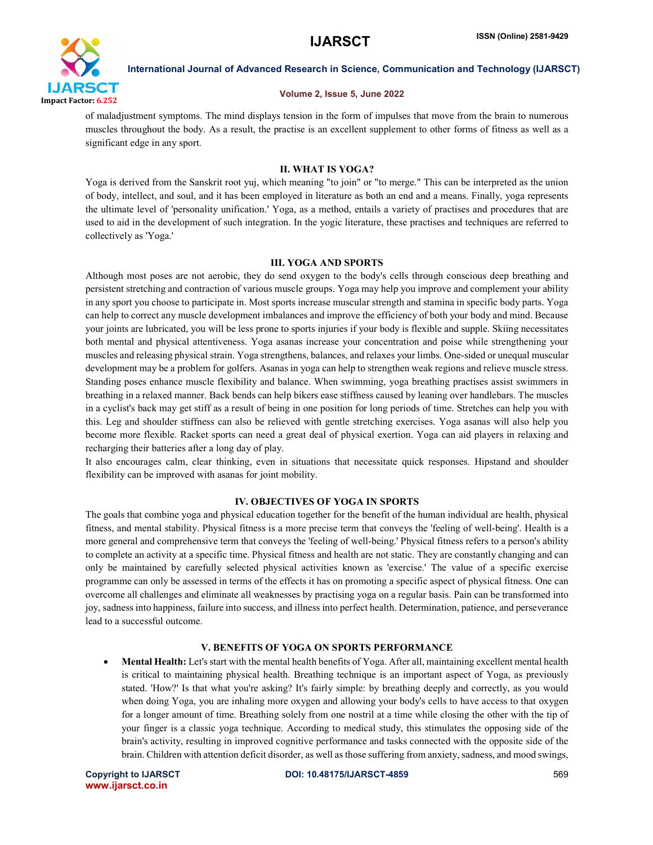

# Volume 2, Issue 5, June 2022

of maladjustment symptoms. The mind displays tension in the form of impulses that move from the brain to numerous muscles throughout the body. As a result, the practise is an excellent supplement to other forms of fitness as well as a significant edge in any sport.

# II. WHAT IS YOGA?

Yoga is derived from the Sanskrit root yuj, which meaning "to join" or "to merge." This can be interpreted as the union of body, intellect, and soul, and it has been employed in literature as both an end and a means. Finally, yoga represents the ultimate level of 'personality unification.' Yoga, as a method, entails a variety of practises and procedures that are used to aid in the development of such integration. In the yogic literature, these practises and techniques are referred to collectively as 'Yoga.'

# III. YOGA AND SPORTS

Although most poses are not aerobic, they do send oxygen to the body's cells through conscious deep breathing and persistent stretching and contraction of various muscle groups. Yoga may help you improve and complement your ability in any sport you choose to participate in. Most sports increase muscular strength and stamina in specific body parts. Yoga can help to correct any muscle development imbalances and improve the efficiency of both your body and mind. Because your joints are lubricated, you will be less prone to sports injuries if your body is flexible and supple. Skiing necessitates both mental and physical attentiveness. Yoga asanas increase your concentration and poise while strengthening your muscles and releasing physical strain. Yoga strengthens, balances, and relaxes your limbs. One-sided or unequal muscular development may be a problem for golfers. Asanas in yoga can help to strengthen weak regions and relieve muscle stress. Standing poses enhance muscle flexibility and balance. When swimming, yoga breathing practises assist swimmers in breathing in a relaxed manner. Back bends can help bikers ease stiffness caused by leaning over handlebars. The muscles in a cyclist's back may get stiff as a result of being in one position for long periods of time. Stretches can help you with this. Leg and shoulder stiffness can also be relieved with gentle stretching exercises. Yoga asanas will also help you become more flexible. Racket sports can need a great deal of physical exertion. Yoga can aid players in relaxing and recharging their batteries after a long day of play.

It also encourages calm, clear thinking, even in situations that necessitate quick responses. Hipstand and shoulder flexibility can be improved with asanas for joint mobility.

# IV. OBJECTIVES OF YOGA IN SPORTS

The goals that combine yoga and physical education together for the benefit of the human individual are health, physical fitness, and mental stability. Physical fitness is a more precise term that conveys the 'feeling of well-being'. Health is a more general and comprehensive term that conveys the 'feeling of well-being.' Physical fitness refers to a person's ability to complete an activity at a specific time. Physical fitness and health are not static. They are constantly changing and can only be maintained by carefully selected physical activities known as 'exercise.' The value of a specific exercise programme can only be assessed in terms of the effects it has on promoting a specific aspect of physical fitness. One can overcome all challenges and eliminate all weaknesses by practising yoga on a regular basis. Pain can be transformed into joy, sadness into happiness, failure into success, and illness into perfect health. Determination, patience, and perseverance lead to a successful outcome.

# V. BENEFITS OF YOGA ON SPORTS PERFORMANCE

 Mental Health: Let's start with the mental health benefits of Yoga. After all, maintaining excellent mental health is critical to maintaining physical health. Breathing technique is an important aspect of Yoga, as previously stated. 'How?' Is that what you're asking? It's fairly simple: by breathing deeply and correctly, as you would when doing Yoga, you are inhaling more oxygen and allowing your body's cells to have access to that oxygen for a longer amount of time. Breathing solely from one nostril at a time while closing the other with the tip of your finger is a classic yoga technique. According to medical study, this stimulates the opposing side of the brain's activity, resulting in improved cognitive performance and tasks connected with the opposite side of the brain. Children with attention deficit disorder, as well as those suffering from anxiety, sadness, and mood swings,

www.ijarsct.co.in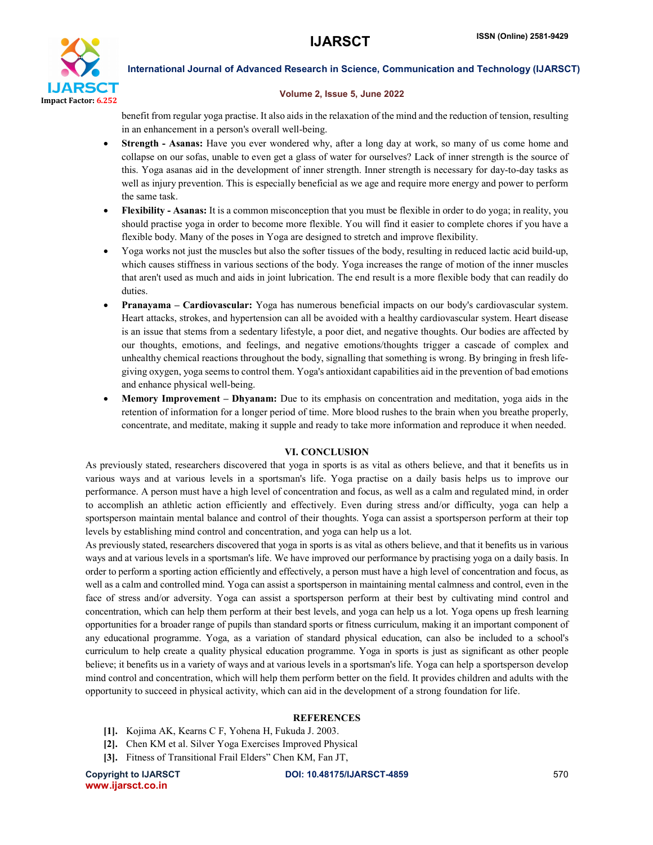

#### Volume 2, Issue 5, June 2022

benefit from regular yoga practise. It also aids in the relaxation of the mind and the reduction of tension, resulting in an enhancement in a person's overall well-being.

- Strength Asanas: Have you ever wondered why, after a long day at work, so many of us come home and collapse on our sofas, unable to even get a glass of water for ourselves? Lack of inner strength is the source of this. Yoga asanas aid in the development of inner strength. Inner strength is necessary for day-to-day tasks as well as injury prevention. This is especially beneficial as we age and require more energy and power to perform the same task.
- Flexibility Asanas: It is a common misconception that you must be flexible in order to do yoga; in reality, you should practise yoga in order to become more flexible. You will find it easier to complete chores if you have a flexible body. Many of the poses in Yoga are designed to stretch and improve flexibility.
- Yoga works not just the muscles but also the softer tissues of the body, resulting in reduced lactic acid build-up, which causes stiffness in various sections of the body. Yoga increases the range of motion of the inner muscles that aren't used as much and aids in joint lubrication. The end result is a more flexible body that can readily do duties.
- Pranayama Cardiovascular: Yoga has numerous beneficial impacts on our body's cardiovascular system. Heart attacks, strokes, and hypertension can all be avoided with a healthy cardiovascular system. Heart disease is an issue that stems from a sedentary lifestyle, a poor diet, and negative thoughts. Our bodies are affected by our thoughts, emotions, and feelings, and negative emotions/thoughts trigger a cascade of complex and unhealthy chemical reactions throughout the body, signalling that something is wrong. By bringing in fresh lifegiving oxygen, yoga seems to control them. Yoga's antioxidant capabilities aid in the prevention of bad emotions and enhance physical well-being.
- Memory Improvement Dhyanam: Due to its emphasis on concentration and meditation, yoga aids in the retention of information for a longer period of time. More blood rushes to the brain when you breathe properly, concentrate, and meditate, making it supple and ready to take more information and reproduce it when needed.

# VI. CONCLUSION

As previously stated, researchers discovered that yoga in sports is as vital as others believe, and that it benefits us in various ways and at various levels in a sportsman's life. Yoga practise on a daily basis helps us to improve our performance. A person must have a high level of concentration and focus, as well as a calm and regulated mind, in order to accomplish an athletic action efficiently and effectively. Even during stress and/or difficulty, yoga can help a sportsperson maintain mental balance and control of their thoughts. Yoga can assist a sportsperson perform at their top levels by establishing mind control and concentration, and yoga can help us a lot.

As previously stated, researchers discovered that yoga in sports is as vital as others believe, and that it benefits us in various ways and at various levels in a sportsman's life. We have improved our performance by practising yoga on a daily basis. In order to perform a sporting action efficiently and effectively, a person must have a high level of concentration and focus, as well as a calm and controlled mind. Yoga can assist a sportsperson in maintaining mental calmness and control, even in the face of stress and/or adversity. Yoga can assist a sportsperson perform at their best by cultivating mind control and concentration, which can help them perform at their best levels, and yoga can help us a lot. Yoga opens up fresh learning opportunities for a broader range of pupils than standard sports or fitness curriculum, making it an important component of any educational programme. Yoga, as a variation of standard physical education, can also be included to a school's curriculum to help create a quality physical education programme. Yoga in sports is just as significant as other people believe; it benefits us in a variety of ways and at various levels in a sportsman's life. Yoga can help a sportsperson develop mind control and concentration, which will help them perform better on the field. It provides children and adults with the opportunity to succeed in physical activity, which can aid in the development of a strong foundation for life.

# **REFERENCES**

- [1]. Kojima AK, Kearns C F, Yohena H, Fukuda J. 2003.
- [2]. Chen KM et al. Silver Yoga Exercises Improved Physical
- [3]. Fitness of Transitional Frail Elders" Chen KM, Fan JT,

www.ijarsct.co.in